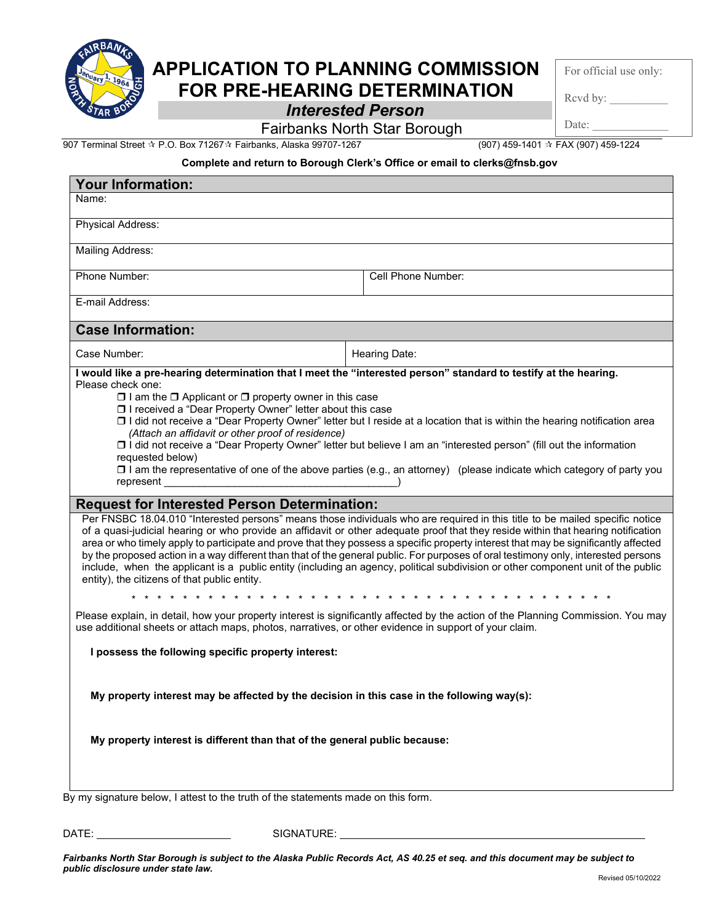

## **APPLICATION TO PLANNING COMMISSION FOR PRE-HEARING DETERMINATION**

For official use only:

Rcvd by:

Date:

*Interested Person*

Fairbanks North Star Borough

907 Terminal Street P.O. Box 71267 Fairbanks, Alaska 99707-1267 (907) 459-1401 FAX (907) 459-1224

## **Complete and return to Borough Clerk's Office or email to clerks@fnsb.gov**

| <b>Your Information:</b>                                                                                                                                                                                                                                                                                                                                                                                                                                                                                                                                                                               |                                                                                                                                                                                                                                                                                                                                                                                                                                                                                                                                                                                                                                                                                    |
|--------------------------------------------------------------------------------------------------------------------------------------------------------------------------------------------------------------------------------------------------------------------------------------------------------------------------------------------------------------------------------------------------------------------------------------------------------------------------------------------------------------------------------------------------------------------------------------------------------|------------------------------------------------------------------------------------------------------------------------------------------------------------------------------------------------------------------------------------------------------------------------------------------------------------------------------------------------------------------------------------------------------------------------------------------------------------------------------------------------------------------------------------------------------------------------------------------------------------------------------------------------------------------------------------|
| Name:                                                                                                                                                                                                                                                                                                                                                                                                                                                                                                                                                                                                  |                                                                                                                                                                                                                                                                                                                                                                                                                                                                                                                                                                                                                                                                                    |
| <b>Physical Address:</b>                                                                                                                                                                                                                                                                                                                                                                                                                                                                                                                                                                               |                                                                                                                                                                                                                                                                                                                                                                                                                                                                                                                                                                                                                                                                                    |
| Mailing Address:                                                                                                                                                                                                                                                                                                                                                                                                                                                                                                                                                                                       |                                                                                                                                                                                                                                                                                                                                                                                                                                                                                                                                                                                                                                                                                    |
| Phone Number:                                                                                                                                                                                                                                                                                                                                                                                                                                                                                                                                                                                          | Cell Phone Number:                                                                                                                                                                                                                                                                                                                                                                                                                                                                                                                                                                                                                                                                 |
| E-mail Address:                                                                                                                                                                                                                                                                                                                                                                                                                                                                                                                                                                                        |                                                                                                                                                                                                                                                                                                                                                                                                                                                                                                                                                                                                                                                                                    |
| <b>Case Information:</b>                                                                                                                                                                                                                                                                                                                                                                                                                                                                                                                                                                               |                                                                                                                                                                                                                                                                                                                                                                                                                                                                                                                                                                                                                                                                                    |
| Case Number:                                                                                                                                                                                                                                                                                                                                                                                                                                                                                                                                                                                           | Hearing Date:                                                                                                                                                                                                                                                                                                                                                                                                                                                                                                                                                                                                                                                                      |
| $\Box$ I am the $\Box$ Applicant or $\Box$ property owner in this case<br>□ I received a "Dear Property Owner" letter about this case<br>O I did not receive a "Dear Property Owner" letter but I reside at a location that is within the hearing notification area<br>(Attach an affidavit or other proof of residence)<br>□ I did not receive a "Dear Property Owner" letter but believe I am an "interested person" (fill out the information<br>requested below)<br>$\square$ I am the representative of one of the above parties (e.g., an attorney) (please indicate which category of party you |                                                                                                                                                                                                                                                                                                                                                                                                                                                                                                                                                                                                                                                                                    |
| <b>Request for Interested Person Determination:</b>                                                                                                                                                                                                                                                                                                                                                                                                                                                                                                                                                    |                                                                                                                                                                                                                                                                                                                                                                                                                                                                                                                                                                                                                                                                                    |
| entity), the citizens of that public entity.                                                                                                                                                                                                                                                                                                                                                                                                                                                                                                                                                           | Per FNSBC 18.04.010 "Interested persons" means those individuals who are required in this title to be mailed specific notice<br>of a quasi-judicial hearing or who provide an affidavit or other adequate proof that they reside within that hearing notification<br>area or who timely apply to participate and prove that they possess a specific property interest that may be significantly affected<br>by the proposed action in a way different than that of the general public. For purposes of oral testimony only, interested persons<br>include, when the applicant is a public entity (including an agency, political subdivision or other component unit of the public |
| Please explain, in detail, how your property interest is significantly affected by the action of the Planning Commission. You may                                                                                                                                                                                                                                                                                                                                                                                                                                                                      |                                                                                                                                                                                                                                                                                                                                                                                                                                                                                                                                                                                                                                                                                    |
| use additional sheets or attach maps, photos, narratives, or other evidence in support of your claim.                                                                                                                                                                                                                                                                                                                                                                                                                                                                                                  |                                                                                                                                                                                                                                                                                                                                                                                                                                                                                                                                                                                                                                                                                    |
| I possess the following specific property interest:                                                                                                                                                                                                                                                                                                                                                                                                                                                                                                                                                    |                                                                                                                                                                                                                                                                                                                                                                                                                                                                                                                                                                                                                                                                                    |
| My property interest may be affected by the decision in this case in the following way(s):<br>My property interest is different than that of the general public because:                                                                                                                                                                                                                                                                                                                                                                                                                               |                                                                                                                                                                                                                                                                                                                                                                                                                                                                                                                                                                                                                                                                                    |
| By my signature below, I attest to the truth of the statements made on this form.                                                                                                                                                                                                                                                                                                                                                                                                                                                                                                                      |                                                                                                                                                                                                                                                                                                                                                                                                                                                                                                                                                                                                                                                                                    |

DATE: SIGNATURE:

*Fairbanks North Star Borough is subject to the Alaska Public Records Act, AS 40.25 et seq. and this document may be subject to public disclosure under state law.*